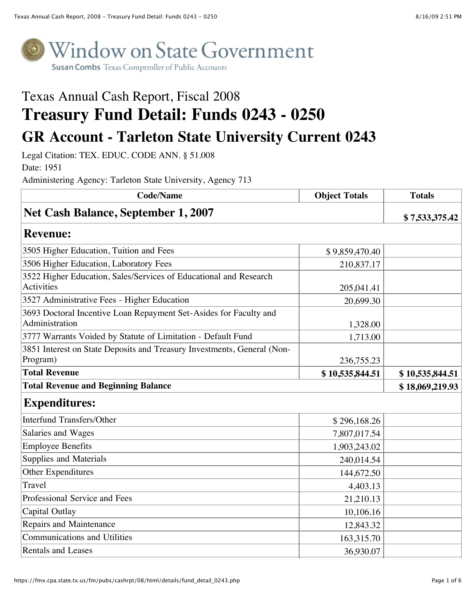

## Texas Annual Cash Report, Fiscal 2008 **Treasury Fund Detail: Funds 0243 - 0250 GR Account - Tarleton State University Current 0243**

Legal Citation: TEX. EDUC. CODE ANN. § 51.008

Date: 1951

Administering Agency: Tarleton State University, Agency 713

| <b>Code/Name</b>                                                                    | <b>Object Totals</b> | <b>Totals</b>   |
|-------------------------------------------------------------------------------------|----------------------|-----------------|
| <b>Net Cash Balance, September 1, 2007</b>                                          |                      | \$7,533,375.42  |
| <b>Revenue:</b>                                                                     |                      |                 |
| 3505 Higher Education, Tuition and Fees                                             | \$9,859,470.40       |                 |
| 3506 Higher Education, Laboratory Fees                                              | 210,837.17           |                 |
| 3522 Higher Education, Sales/Services of Educational and Research<br>Activities     | 205,041.41           |                 |
| 3527 Administrative Fees - Higher Education                                         | 20,699.30            |                 |
| 3693 Doctoral Incentive Loan Repayment Set-Asides for Faculty and<br>Administration | 1,328.00             |                 |
| 3777 Warrants Voided by Statute of Limitation - Default Fund                        | 1,713.00             |                 |
| 3851 Interest on State Deposits and Treasury Investments, General (Non-<br>Program) | 236,755.23           |                 |
| <b>Total Revenue</b>                                                                | \$10,535,844.51      | \$10,535,844.51 |
| <b>Total Revenue and Beginning Balance</b>                                          |                      | \$18,069,219.93 |
| <b>Expenditures:</b>                                                                |                      |                 |
| <b>Interfund Transfers/Other</b>                                                    | \$296,168.26         |                 |
| Salaries and Wages                                                                  | 7,807,017.54         |                 |
| <b>Employee Benefits</b>                                                            | 1,903,243.02         |                 |
| Supplies and Materials                                                              | 240,014.54           |                 |
| Other Expenditures                                                                  | 144,672.50           |                 |
| Travel                                                                              | 4,403.13             |                 |
| Professional Service and Fees                                                       | 21,210.13            |                 |
| Capital Outlay                                                                      | 10,106.16            |                 |
| Repairs and Maintenance                                                             | 12,843.32            |                 |
| <b>Communications and Utilities</b>                                                 | 163,315.70           |                 |
| <b>Rentals and Leases</b>                                                           | 36,930.07            |                 |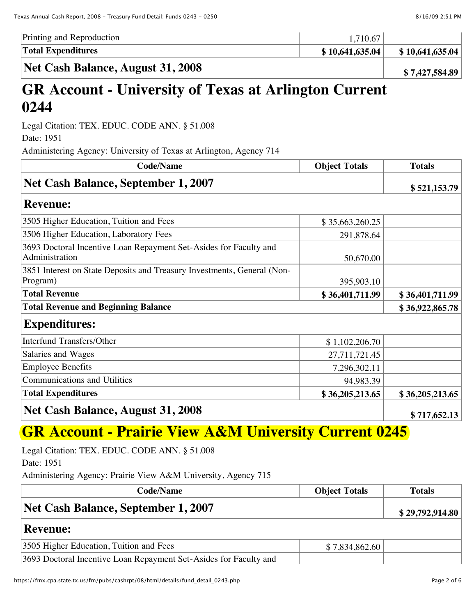| Printing and Reproduction | 10.67           |                 |
|---------------------------|-----------------|-----------------|
| <b>Total Expenditures</b> | \$10,641,635.04 | \$10,641,635.04 |
|                           |                 |                 |

**Net Cash Balance, August 31, 2008 \$ 7,427,584.89** 

## **GR Account - University of Texas at Arlington Current 0244**

Legal Citation: TEX. EDUC. CODE ANN. § 51.008

Date: 1951

Administering Agency: University of Texas at Arlington, Agency 714

| <b>Code/Name</b>                                                                    | <b>Object Totals</b> | <b>Totals</b>   |
|-------------------------------------------------------------------------------------|----------------------|-----------------|
| <b>Net Cash Balance, September 1, 2007</b>                                          |                      | \$521,153.79    |
| <b>Revenue:</b>                                                                     |                      |                 |
| 3505 Higher Education, Tuition and Fees                                             | \$35,663,260.25      |                 |
| 3506 Higher Education, Laboratory Fees                                              | 291,878.64           |                 |
| 3693 Doctoral Incentive Loan Repayment Set-Asides for Faculty and<br>Administration | 50,670.00            |                 |
| 3851 Interest on State Deposits and Treasury Investments, General (Non-<br>Program) | 395,903.10           |                 |
| <b>Total Revenue</b>                                                                | \$36,401,711.99      | \$36,401,711.99 |
| <b>Total Revenue and Beginning Balance</b>                                          |                      | \$36,922,865.78 |
| <b>Expenditures:</b>                                                                |                      |                 |
| Interfund Transfers/Other                                                           | \$1,102,206.70       |                 |
| Salaries and Wages                                                                  | 27,711,721.45        |                 |
| Employee Benefits                                                                   | 7,296,302.11         |                 |
| Communications and Utilities                                                        | 94,983.39            |                 |
| <b>Total Expenditures</b>                                                           | \$36,205,213.65      | \$36,205,213.65 |
| Net Cash Balance, August 31, 2008                                                   |                      | \$717,652.13    |

## **GR Account - Prairie View A&M University Current 0245**

Legal Citation: TEX. EDUC. CODE ANN. § 51.008

Date: 1951

Administering Agency: Prairie View A&M University, Agency 715

| <b>Code/Name</b>                                                  | <b>Object Totals</b> | <b>Totals</b>   |
|-------------------------------------------------------------------|----------------------|-----------------|
| Net Cash Balance, September 1, 2007                               |                      | \$29,792,914.80 |
| <b>Revenue:</b>                                                   |                      |                 |
| 3505 Higher Education, Tuition and Fees                           | \$7,834,862.60       |                 |
| 3693 Doctoral Incentive Loan Repayment Set-Asides for Faculty and |                      |                 |